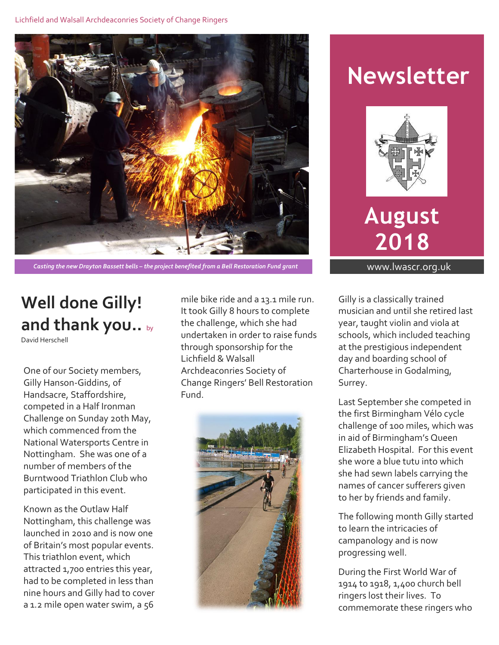

*Casting the new Drayton Bassett bells – the project benefited from a Bell Restoration Fund grant* www.lwascr.org.uk

## **Well done Gilly! and thank you..** by

David Herschell

One of our Society members, Gilly Hanson-Giddins, of Handsacre, Staffordshire, competed in a Half Ironman Challenge on Sunday 20th May, which commenced from the National Watersports Centre in Nottingham. She was one of a number of members of the Burntwood Triathlon Club who participated in this event.

Known as the Outlaw Half Nottingham, this challenge was launched in 2010 and is now one of Britain's most popular events. This triathlon event, which attracted 1,700 entries this year, had to be completed in less than nine hours and Gilly had to cover a 1.2 mile open water swim, a 56

mile bike ride and a 13.1 mile run. It took Gilly 8 hours to complete the challenge, which she had undertaken in order to raise funds through sponsorship for the Lichfield & Walsall Archdeaconries Society of Change Ringers' Bell Restoration Fund.



# **Newsletter**



**August 2018**

Gilly is a classically trained musician and until she retired last year, taught violin and viola at schools, which included teaching at the prestigious independent day and boarding school of Charterhouse in Godalming, Surrey.

Last September she competed in the first Birmingham Vélo cycle challenge of 100 miles, which was in aid of Birmingham's Queen Elizabeth Hospital. For this event she wore a blue tutu into which she had sewn labels carrying the names of cancer sufferers given to her by friends and family.

The following month Gilly started to learn the intricacies of campanology and is now progressing well.

During the First World War of 1914 to 1918, 1,400 church bell ringers lost their lives. To commemorate these ringers who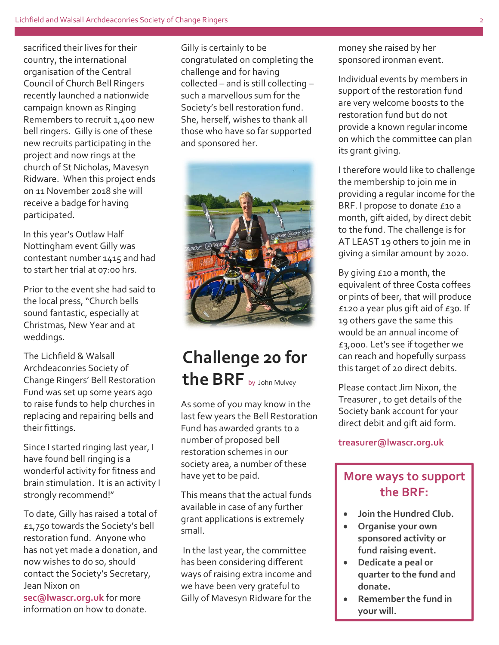sacrificed their lives for their country, the international organisation of the Central Council of Church Bell Ringers recently launched a nationwide campaign known as Ringing Remembers to recruit 1,400 new bell ringers. Gilly is one of these new recruits participating in the project and now rings at the church of St Nicholas, Mavesyn Ridware. When this project ends on 11 November 2018 she will receive a badge for having participated.

In this year's Outlaw Half Nottingham event Gilly was contestant number 1415 and had to start her trial at 07:00 hrs.

Prior to the event she had said to the local press, "Church bells sound fantastic, especially at Christmas, New Year and at weddings.

The Lichfield & Walsall Archdeaconries Society of Change Ringers' Bell Restoration Fund was set up some years ago to raise funds to help churches in replacing and repairing bells and their fittings.

Since I started ringing last year, I have found bell ringing is a wonderful activity for fitness and brain stimulation. It is an activity I strongly recommend!"

To date, Gilly has raised a total of £1,750 towards the Society's bell restoration fund. Anyone who has not yet made a donation, and now wishes to do so, should contact the Society's Secretary, Jean Nixon on

**sec@lwascr.org.uk** for more information on how to donate. Gilly is certainly to be congratulated on completing the challenge and for having collected – and is still collecting – such a marvellous sum for the Society's bell restoration fund. She, herself, wishes to thank all those who have so far supported and sponsored her.



### **Challenge 20 for the BRF** by John Mulvey

As some of you may know in the last few years the Bell Restoration Fund has awarded grants to a number of proposed bell restoration schemes in our society area, a number of these have yet to be paid.

This means that the actual funds available in case of any further grant applications is extremely small.

In the last year, the committee has been considering different ways of raising extra income and we have been very grateful to Gilly of Mavesyn Ridware for the

money she raised by her sponsored ironman event.

Individual events by members in support of the restoration fund are very welcome boosts to the restoration fund but do not provide a known regular income on which the committee can plan its grant giving.

I therefore would like to challenge the membership to join me in providing a regular income for the BRF. I propose to donate £10 a month, gift aided, by direct debit to the fund. The challenge is for AT LEAST 19 others to join me in giving a similar amount by 2020.

By giving £10 a month, the equivalent of three Costa coffees or pints of beer, that will produce  $£120$  a year plus gift aid of  $£30$ . If 19 others gave the same this would be an annual income of £3,000. Let's see if together we can reach and hopefully surpass this target of 20 direct debits.

Please contact Jim Nixon, the Treasurer , to get details of the Society bank account for your direct debit and gift aid form.

#### **treasurer@lwascr.org.uk**

#### **More ways to support the BRF:**

- **Join the Hundred Club.**
- **Organise your own sponsored activity or fund raising event.**
- **Dedicate a peal or quarter to the fund and donate.**
- **Remember the fund in your will.**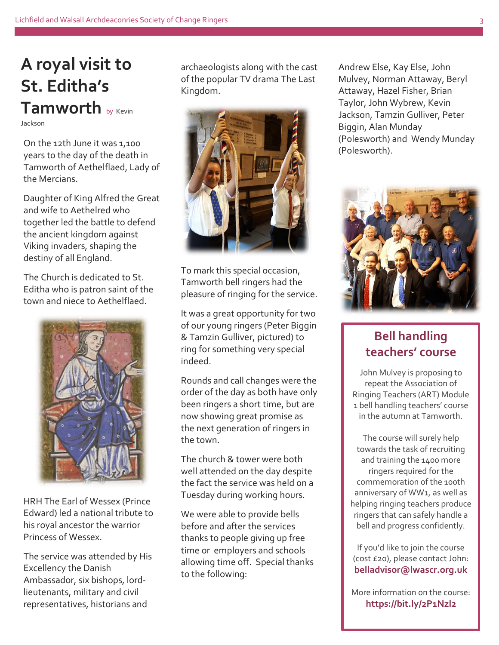#### **A royal visit to St. Editha's Tamworth** by Kevin Jackson

On the 12th June it was 1,100 years to the day of the death in Tamworth of Aethelflaed, Lady of the Mercians.

Daughter of King Alfred the Great and wife to Aethelred who together led the battle to defend the ancient kingdom against Viking invaders, shaping the destiny of all England.

The Church is dedicated to St. Editha who is patron saint of the town and niece to Aethelflaed.



HRH The Earl of Wessex (Prince Edward) led a national tribute to his royal ancestor the warrior Princess of Wessex.

The service was attended by His Excellency the Danish Ambassador, six bishops, lordlieutenants, military and civil representatives, historians and

archaeologists along with the cast of the popular TV drama The Last Kingdom.



To mark this special occasion, Tamworth bell ringers had the pleasure of ringing for the service.

It was a great opportunity for two of our young ringers (Peter Biggin & Tamzin Gulliver, pictured) to ring for something very special indeed.

Rounds and call changes were the order of the day as both have only been ringers a short time, but are now showing great promise as the next generation of ringers in the town.

The church & tower were both well attended on the day despite the fact the service was held on a Tuesday during working hours.

We were able to provide bells before and after the services thanks to people giving up free time or employers and schools allowing time off. Special thanks to the following:

Andrew Else, Kay Else, John Mulvey, Norman Attaway, Beryl Attaway, Hazel Fisher, Brian Taylor, John Wybrew, Kevin Jackson, Tamzin Gulliver, Peter Biggin, Alan Munday (Polesworth) and Wendy Munday (Polesworth).



#### **Bell handling teachers' course**

John Mulvey is proposing to repeat the Association of Ringing Teachers (ART) Module 1 bell handling teachers' course in the autumn at Tamworth.

The course will surely help towards the task of recruiting and training the 1400 more ringers required for the commemoration of the 100th anniversary of WW1, as well as helping ringing teachers produce ringers that can safely handle a bell and progress confidently.

If you'd like to join the course (cost £20), please contact John: **belladvisor@lwascr.org.uk**

More information on the course: **https://bit.ly/2P1Nzl2**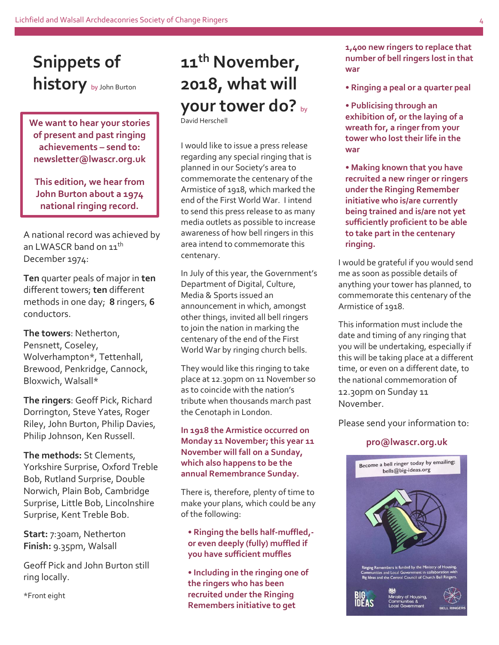### **Snippets of history** by John Burton

**We want to hear your stories of present and past ringing achievements – send to: newsletter@lwascr.org.uk**

**This edition, we hear from John Burton about a 1974 national ringing record.**

A national record was achieved by an LWASCR band on 11<sup>th</sup> December 1974:

**Ten** quarter peals of major in **ten** different towers; **ten** different methods in one day; **8** ringers, **6** conductors.

**The towers**: Netherton, Pensnett, Coseley, Wolverhampton\*, Tettenhall, Brewood, Penkridge, Cannock, Bloxwich, Walsall\*

**The ringers**: Geoff Pick, Richard Dorrington, Steve Yates, Roger Riley, John Burton, Philip Davies, Philip Johnson, Ken Russell.

**The methods:** St Clements, Yorkshire Surprise, Oxford Treble Bob, Rutland Surprise, Double Norwich, Plain Bob, Cambridge Surprise, Little Bob, Lincolnshire Surprise, Kent Treble Bob.

**Start:** 7:30am, Netherton **Finish:** 9.35pm, Walsall

Geoff Pick and John Burton still ring locally.

\*Front eight

## **11th November, 2018, what will your tower do?** by

David Herschell

I would like to issue a press release regarding any special ringing that is planned in our Society's area to commemorate the centenary of the Armistice of 1918, which marked the end of the First World War. I intend to send this press release to as many media outlets as possible to increase awareness of how bell ringers in this area intend to commemorate this centenary.

In July of this year, the Government's Department of Digital, Culture, Media & Sports issued an announcement in which, amongst other things, invited all bell ringers to join the nation in marking the centenary of the end of the First World War by ringing church bells.

They would like this ringing to take place at 12.30pm on 11 November so as to coincide with the nation's tribute when thousands march past the Cenotaph in London.

#### **In 1918 the Armistice occurred on Monday 11 November; this year 11 November will fall on a Sunday, which also happens to be the annual Remembrance Sunday.**

There is, therefore, plenty of time to make your plans, which could be any of the following:

**• Ringing the bells half-muffled, or even deeply (fully) muffled if you have sufficient muffles**

**• Including in the ringing one of the ringers who has been recruited under the Ringing Remembers initiative to get** 

**1,400 new ringers to replace that number of bell ringers lost in that war**

- **Ringing a peal or a quarter peal**
- **Publicising through an exhibition of, or the laying of a wreath for, a ringer from your tower who lost their life in the war**
- **Making known that you have recruited a new ringer or ringers under the Ringing Remember initiative who is/are currently being trained and is/are not yet sufficiently proficient to be able to take part in the centenary ringing.**

I would be grateful if you would send me as soon as possible details of anything your tower has planned, to commemorate this centenary of the Armistice of 1918.

This information must include the date and timing of any ringing that you will be undertaking, especially if this will be taking place at a different time, or even on a different date, to the national commemoration of 12.30pm on Sunday 11 November.

Please send your information to:

#### **pro@lwascr.org.uk**